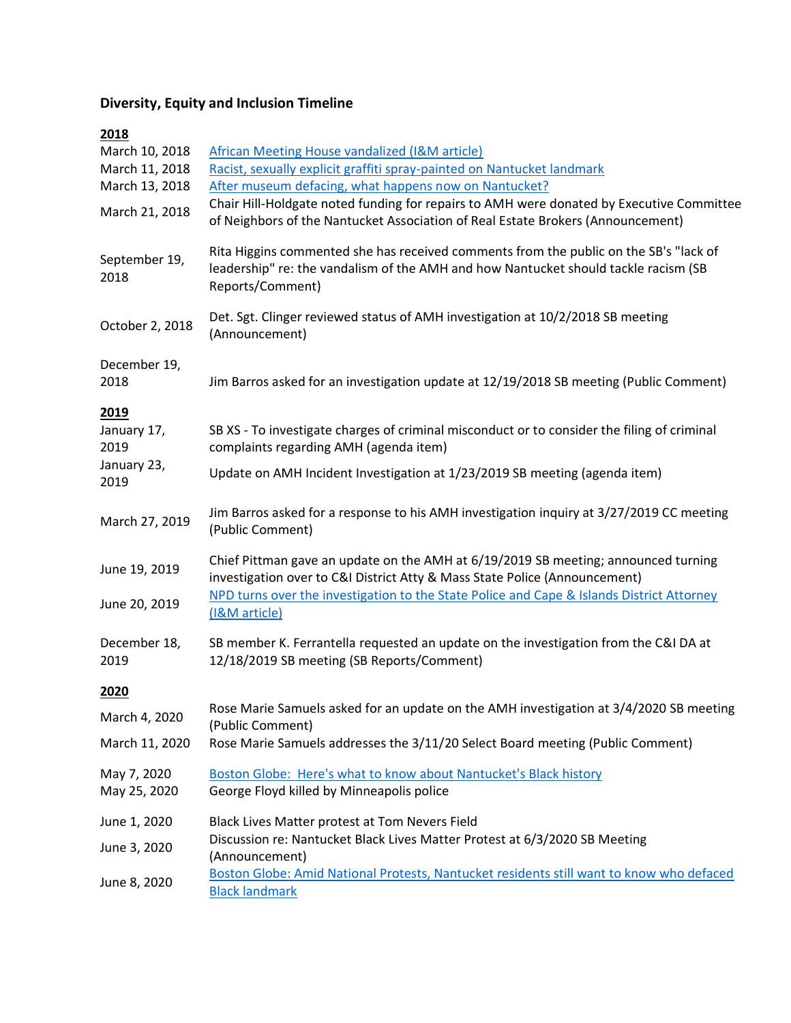## **Diversity, Equity and Inclusion Timeline**

## **2018**

| March 10, 2018<br>March 11, 2018<br>March 13, 2018 | <b>African Meeting House vandalized (I&amp;M article)</b><br>Racist, sexually explicit graffiti spray-painted on Nantucket landmark<br>After museum defacing, what happens now on Nantucket?     |
|----------------------------------------------------|--------------------------------------------------------------------------------------------------------------------------------------------------------------------------------------------------|
| March 21, 2018                                     | Chair Hill-Holdgate noted funding for repairs to AMH were donated by Executive Committee<br>of Neighbors of the Nantucket Association of Real Estate Brokers (Announcement)                      |
| September 19,<br>2018                              | Rita Higgins commented she has received comments from the public on the SB's "lack of<br>leadership" re: the vandalism of the AMH and how Nantucket should tackle racism (SB<br>Reports/Comment) |
| October 2, 2018                                    | Det. Sgt. Clinger reviewed status of AMH investigation at 10/2/2018 SB meeting<br>(Announcement)                                                                                                 |
| December 19,<br>2018                               | Jim Barros asked for an investigation update at 12/19/2018 SB meeting (Public Comment)                                                                                                           |
| 2019<br>January 17,<br>2019                        | SB XS - To investigate charges of criminal misconduct or to consider the filing of criminal<br>complaints regarding AMH (agenda item)                                                            |
| January 23,<br>2019                                | Update on AMH Incident Investigation at 1/23/2019 SB meeting (agenda item)                                                                                                                       |
| March 27, 2019                                     | Jim Barros asked for a response to his AMH investigation inquiry at 3/27/2019 CC meeting<br>(Public Comment)                                                                                     |
| June 19, 2019                                      | Chief Pittman gave an update on the AMH at 6/19/2019 SB meeting; announced turning<br>investigation over to C&I District Atty & Mass State Police (Announcement)                                 |
| June 20, 2019                                      | NPD turns over the investigation to the State Police and Cape & Islands District Attorney<br>(I&M article)                                                                                       |
| December 18,<br>2019                               | SB member K. Ferrantella requested an update on the investigation from the C&I DA at<br>12/18/2019 SB meeting (SB Reports/Comment)                                                               |
| 2020                                               |                                                                                                                                                                                                  |
| March 4, 2020                                      | Rose Marie Samuels asked for an update on the AMH investigation at 3/4/2020 SB meeting<br>(Public Comment)                                                                                       |
| March 11, 2020                                     | Rose Marie Samuels addresses the 3/11/20 Select Board meeting (Public Comment)                                                                                                                   |
| May 7, 2020<br>May 25, 2020                        | Boston Globe: Here's what to know about Nantucket's Black history<br>George Floyd killed by Minneapolis police                                                                                   |
| June 1, 2020                                       | Black Lives Matter protest at Tom Nevers Field                                                                                                                                                   |
| June 3, 2020                                       | Discussion re: Nantucket Black Lives Matter Protest at 6/3/2020 SB Meeting<br>(Announcement)                                                                                                     |
| June 8, 2020                                       | Boston Globe: Amid National Protests, Nantucket residents still want to know who defaced<br><b>Black landmark</b>                                                                                |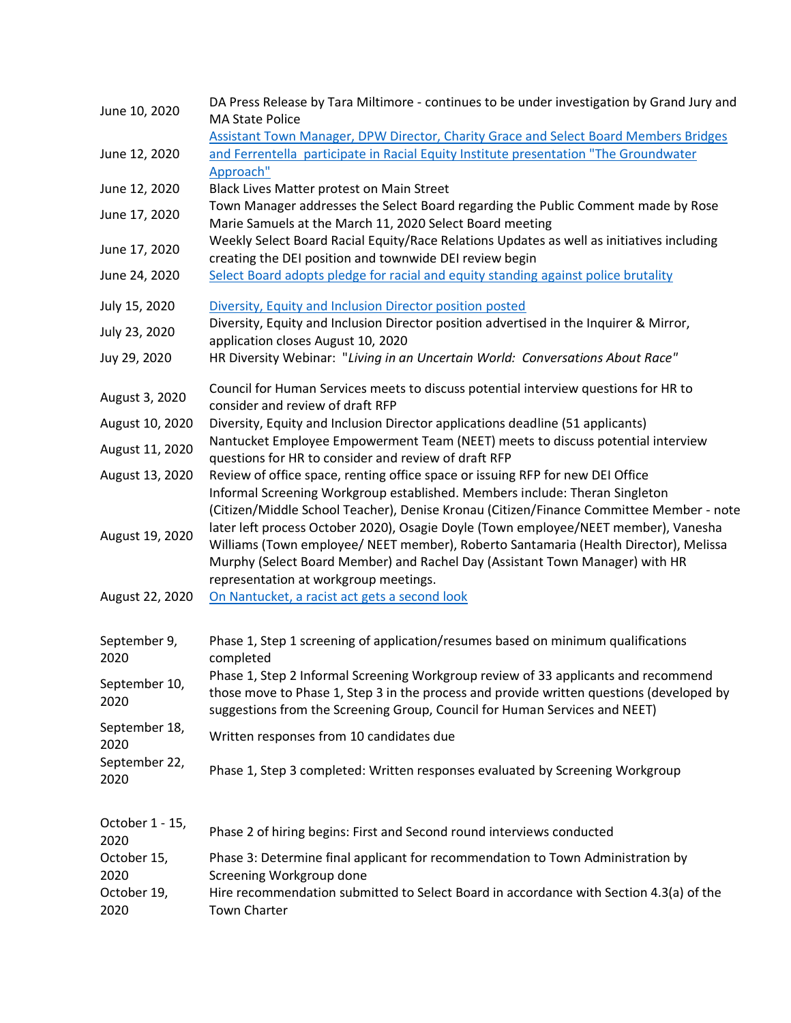| June 10, 2020                              | DA Press Release by Tara Miltimore - continues to be under investigation by Grand Jury and<br><b>MA State Police</b><br>Assistant Town Manager, DPW Director, Charity Grace and Select Board Members Bridges                                                                                         |
|--------------------------------------------|------------------------------------------------------------------------------------------------------------------------------------------------------------------------------------------------------------------------------------------------------------------------------------------------------|
| June 12, 2020                              | and Ferrentella participate in Racial Equity Institute presentation "The Groundwater<br>Approach"                                                                                                                                                                                                    |
| June 12, 2020                              | Black Lives Matter protest on Main Street                                                                                                                                                                                                                                                            |
| June 17, 2020                              | Town Manager addresses the Select Board regarding the Public Comment made by Rose<br>Marie Samuels at the March 11, 2020 Select Board meeting                                                                                                                                                        |
| June 17, 2020                              | Weekly Select Board Racial Equity/Race Relations Updates as well as initiatives including<br>creating the DEI position and townwide DEI review begin                                                                                                                                                 |
| June 24, 2020                              | Select Board adopts pledge for racial and equity standing against police brutality                                                                                                                                                                                                                   |
| July 15, 2020                              | Diversity, Equity and Inclusion Director position posted                                                                                                                                                                                                                                             |
| July 23, 2020                              | Diversity, Equity and Inclusion Director position advertised in the Inquirer & Mirror,<br>application closes August 10, 2020                                                                                                                                                                         |
| Juy 29, 2020                               | HR Diversity Webinar: "Living in an Uncertain World: Conversations About Race"                                                                                                                                                                                                                       |
| August 3, 2020                             | Council for Human Services meets to discuss potential interview questions for HR to<br>consider and review of draft RFP                                                                                                                                                                              |
| August 10, 2020                            | Diversity, Equity and Inclusion Director applications deadline (51 applicants)                                                                                                                                                                                                                       |
| August 11, 2020                            | Nantucket Employee Empowerment Team (NEET) meets to discuss potential interview<br>questions for HR to consider and review of draft RFP                                                                                                                                                              |
| August 13, 2020                            | Review of office space, renting office space or issuing RFP for new DEI Office<br>Informal Screening Workgroup established. Members include: Theran Singleton<br>(Citizen/Middle School Teacher), Denise Kronau (Citizen/Finance Committee Member - note                                             |
| August 19, 2020                            | later left process October 2020), Osagie Doyle (Town employee/NEET member), Vanesha<br>Williams (Town employee/ NEET member), Roberto Santamaria (Health Director), Melissa<br>Murphy (Select Board Member) and Rachel Day (Assistant Town Manager) with HR<br>representation at workgroup meetings. |
| August 22, 2020                            | On Nantucket, a racist act gets a second look                                                                                                                                                                                                                                                        |
| September 9,<br>2020                       | Phase 1, Step 1 screening of application/resumes based on minimum qualifications<br>completed                                                                                                                                                                                                        |
| September 10,<br>2020                      | Phase 1, Step 2 Informal Screening Workgroup review of 33 applicants and recommend<br>those move to Phase 1, Step 3 in the process and provide written questions (developed by<br>suggestions from the Screening Group, Council for Human Services and NEET)                                         |
| September 18,<br>2020                      | Written responses from 10 candidates due                                                                                                                                                                                                                                                             |
| September 22,<br>2020                      | Phase 1, Step 3 completed: Written responses evaluated by Screening Workgroup                                                                                                                                                                                                                        |
| October 1 - 15,<br>2020                    | Phase 2 of hiring begins: First and Second round interviews conducted                                                                                                                                                                                                                                |
| October 15,<br>2020<br>October 19,<br>2020 | Phase 3: Determine final applicant for recommendation to Town Administration by<br>Screening Workgroup done<br>Hire recommendation submitted to Select Board in accordance with Section 4.3(a) of the<br><b>Town Charter</b>                                                                         |